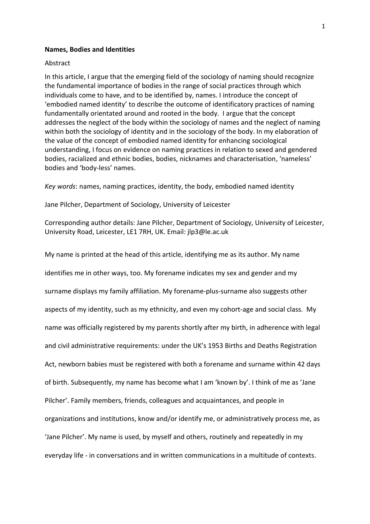## **Names, Bodies and Identities**

## Abstract

In this article, I argue that the emerging field of the sociology of naming should recognize the fundamental importance of bodies in the range of social practices through which individuals come to have, and to be identified by, names. I introduce the concept of 'embodied named identity' to describe the outcome of identificatory practices of naming fundamentally orientated around and rooted in the body. I argue that the concept addresses the neglect of the body within the sociology of names and the neglect of naming within both the sociology of identity and in the sociology of the body. In my elaboration of the value of the concept of embodied named identity for enhancing sociological understanding, I focus on evidence on naming practices in relation to sexed and gendered bodies, racialized and ethnic bodies, bodies, nicknames and characterisation, 'nameless' bodies and 'body-less' names.

*Key words*: names, naming practices, identity, the body, embodied named identity

Jane Pilcher, Department of Sociology, University of Leicester

Corresponding author details: Jane Pilcher, Department of Sociology, University of Leicester, University Road, Leicester, LE1 7RH, UK. Email: jlp3@le.ac.uk

My name is printed at the head of this article, identifying me as its author. My name identifies me in other ways, too. My forename indicates my sex and gender and my surname displays my family affiliation. My forename-plus-surname also suggests other aspects of my identity, such as my ethnicity, and even my cohort-age and social class. My name was officially registered by my parents shortly after my birth, in adherence with legal and civil administrative requirements: under the UK's 1953 Births and Deaths Registration Act, newborn babies must be registered with both a forename and surname within 42 days of birth. Subsequently, my name has become what I am 'known by'. I think of me as 'Jane Pilcher'. Family members, friends, colleagues and acquaintances, and people in organizations and institutions, know and/or identify me, or administratively process me, as 'Jane Pilcher'. My name is used, by myself and others, routinely and repeatedly in my everyday life - in conversations and in written communications in a multitude of contexts.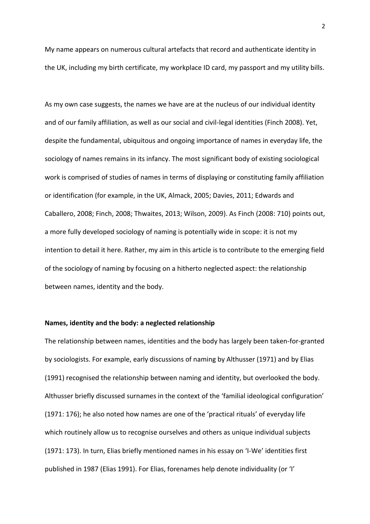My name appears on numerous cultural artefacts that record and authenticate identity in the UK, including my birth certificate, my workplace ID card, my passport and my utility bills.

As my own case suggests, the names we have are at the nucleus of our individual identity and of our family affiliation, as well as our social and civil-legal identities (Finch 2008). Yet, despite the fundamental, ubiquitous and ongoing importance of names in everyday life, the sociology of names remains in its infancy. The most significant body of existing sociological work is comprised of studies of names in terms of displaying or constituting family affiliation or identification (for example, in the UK, Almack, 2005; Davies, 2011; Edwards and Caballero, 2008; Finch, 2008; Thwaites, 2013; Wilson, 2009). As Finch (2008: 710) points out, a more fully developed sociology of naming is potentially wide in scope: it is not my intention to detail it here. Rather, my aim in this article is to contribute to the emerging field of the sociology of naming by focusing on a hitherto neglected aspect: the relationship between names, identity and the body.

## **Names, identity and the body: a neglected relationship**

The relationship between names, identities and the body has largely been taken-for-granted by sociologists. For example, early discussions of naming by Althusser (1971) and by Elias (1991) recognised the relationship between naming and identity, but overlooked the body. Althusser briefly discussed surnames in the context of the 'familial ideological configuration' (1971: 176); he also noted how names are one of the 'practical rituals' of everyday life which routinely allow us to recognise ourselves and others as unique individual subjects (1971: 173). In turn, Elias briefly mentioned names in his essay on 'I-We' identities first published in 1987 (Elias 1991). For Elias, forenames help denote individuality (or 'I'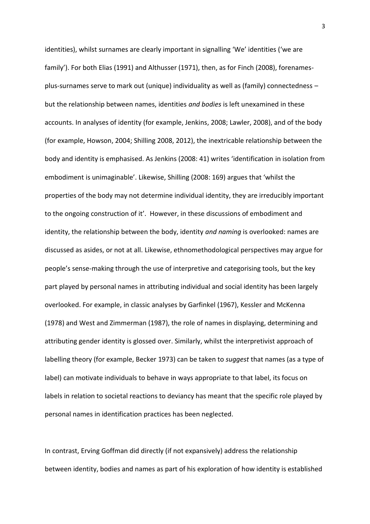identities), whilst surnames are clearly important in signalling 'We' identities ('we are family'). For both Elias (1991) and Althusser (1971), then, as for Finch (2008), forenamesplus-surnames serve to mark out (unique) individuality as well as (family) connectedness – but the relationship between names, identities *and bodies* is left unexamined in these accounts. In analyses of identity (for example, Jenkins, 2008; Lawler, 2008), and of the body (for example, Howson, 2004; Shilling 2008, 2012), the inextricable relationship between the body and identity is emphasised. As Jenkins (2008: 41) writes 'identification in isolation from embodiment is unimaginable'. Likewise, Shilling (2008: 169) argues that 'whilst the properties of the body may not determine individual identity, they are irreducibly important to the ongoing construction of it'. However, in these discussions of embodiment and identity, the relationship between the body, identity *and naming* is overlooked: names are discussed as asides, or not at all. Likewise, ethnomethodological perspectives may argue for people's sense-making through the use of interpretive and categorising tools, but the key part played by personal names in attributing individual and social identity has been largely overlooked. For example, in classic analyses by Garfinkel (1967), Kessler and McKenna (1978) and West and Zimmerman (1987), the role of names in displaying, determining and attributing gender identity is glossed over. Similarly, whilst the interpretivist approach of labelling theory (for example, Becker 1973) can be taken to *suggest* that names (as a type of label) can motivate individuals to behave in ways appropriate to that label, its focus on labels in relation to societal reactions to deviancy has meant that the specific role played by personal names in identification practices has been neglected.

In contrast, Erving Goffman did directly (if not expansively) address the relationship between identity, bodies and names as part of his exploration of how identity is established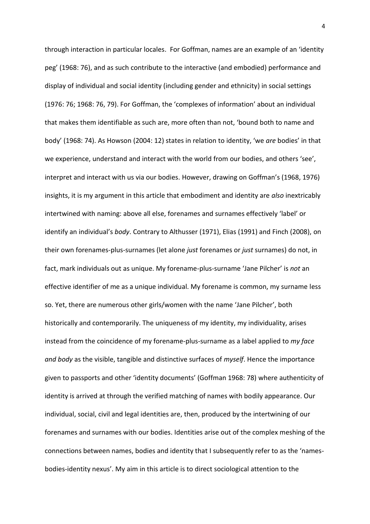through interaction in particular locales. For Goffman, names are an example of an 'identity peg' (1968: 76), and as such contribute to the interactive (and embodied) performance and display of individual and social identity (including gender and ethnicity) in social settings (1976: 76; 1968: 76, 79). For Goffman, the 'complexes of information' about an individual that makes them identifiable as such are, more often than not, 'bound both to name and body' (1968: 74). As Howson (2004: 12) states in relation to identity, 'we *are* bodies' in that we experience, understand and interact with the world from our bodies, and others 'see', interpret and interact with us via our bodies. However, drawing on Goffman's (1968, 1976) insights, it is my argument in this article that embodiment and identity are *also* inextricably intertwined with naming: above all else, forenames and surnames effectively 'label' or identify an individual's *body*. Contrary to Althusser (1971), Elias (1991) and Finch (2008), on their own forenames-plus-surnames (let alone *just* forenames or *just* surnames) do not, in fact, mark individuals out as unique. My forename-plus-surname 'Jane Pilcher' is *not* an effective identifier of me as a unique individual. My forename is common, my surname less so. Yet, there are numerous other girls/women with the name 'Jane Pilcher', both historically and contemporarily. The uniqueness of my identity, my individuality, arises instead from the coincidence of my forename-plus-surname as a label applied to *my face and body* as the visible, tangible and distinctive surfaces of *myself*. Hence the importance given to passports and other 'identity documents' (Goffman 1968: 78) where authenticity of identity is arrived at through the verified matching of names with bodily appearance. Our individual, social, civil and legal identities are, then, produced by the intertwining of our forenames and surnames with our bodies. Identities arise out of the complex meshing of the connections between names, bodies and identity that I subsequently refer to as the 'namesbodies-identity nexus'. My aim in this article is to direct sociological attention to the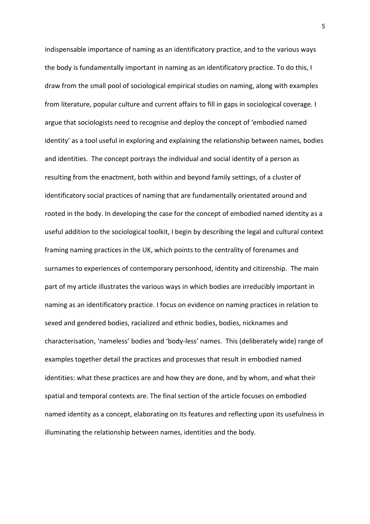indispensable importance of naming as an identificatory practice, and to the various ways the body is fundamentally important in naming as an identificatory practice. To do this, I draw from the small pool of sociological empirical studies on naming, along with examples from literature, popular culture and current affairs to fill in gaps in sociological coverage. I argue that sociologists need to recognise and deploy the concept of 'embodied named identity' as a tool useful in exploring and explaining the relationship between names, bodies and identities. The concept portrays the individual and social identity of a person as resulting from the enactment, both within and beyond family settings, of a cluster of identificatory social practices of naming that are fundamentally orientated around and rooted in the body. In developing the case for the concept of embodied named identity as a useful addition to the sociological toolkit, I begin by describing the legal and cultural context framing naming practices in the UK, which points to the centrality of forenames and surnames to experiences of contemporary personhood, identity and citizenship. The main part of my article illustrates the various ways in which bodies are irreducibly important in naming as an identificatory practice. I focus on evidence on naming practices in relation to sexed and gendered bodies, racialized and ethnic bodies, bodies, nicknames and characterisation, 'nameless' bodies and 'body-less' names. This (deliberately wide) range of examples together detail the practices and processes that result in embodied named identities: what these practices are and how they are done, and by whom, and what their spatial and temporal contexts are. The final section of the article focuses on embodied named identity as a concept, elaborating on its features and reflecting upon its usefulness in illuminating the relationship between names, identities and the body.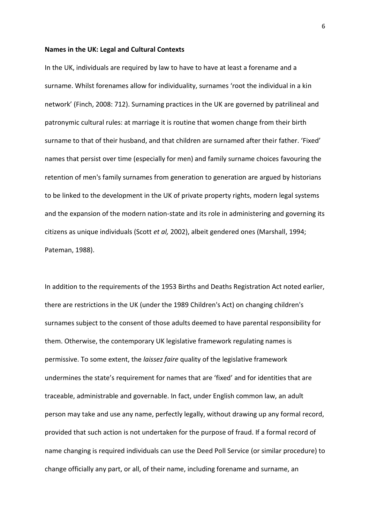### **Names in the UK: Legal and Cultural Contexts**

In the UK, individuals are required by law to have to have at least a forename and a surname. Whilst forenames allow for individuality, surnames 'root the individual in a kin network' (Finch, 2008: 712). Surnaming practices in the UK are governed by patrilineal and patronymic cultural rules: at marriage it is routine that women change from their birth surname to that of their husband, and that children are surnamed after their father. 'Fixed' names that persist over time (especially for men) and family surname choices favouring the retention of men's family surnames from generation to generation are argued by historians to be linked to the development in the UK of private property rights, modern legal systems and the expansion of the modern nation-state and its role in administering and governing its citizens as unique individuals (Scott *et al,* 2002), albeit gendered ones (Marshall, 1994; Pateman, 1988).

In addition to the requirements of the 1953 Births and Deaths Registration Act noted earlier, there are restrictions in the UK (under the 1989 Children's Act) on changing children's surnames subject to the consent of those adults deemed to have parental responsibility for them. Otherwise, the contemporary UK legislative framework regulating names is permissive. To some extent, the *laissez faire* quality of the legislative framework undermines the state's requirement for names that are 'fixed' and for identities that are traceable, administrable and governable. In fact, under English common law, an adult person may take and use any name, perfectly legally, without drawing up any formal record, provided that such action is not undertaken for the purpose of fraud. If a formal record of name changing is required individuals can use the Deed Poll Service (or similar procedure) to change officially any part, or all, of their name, including forename and surname, an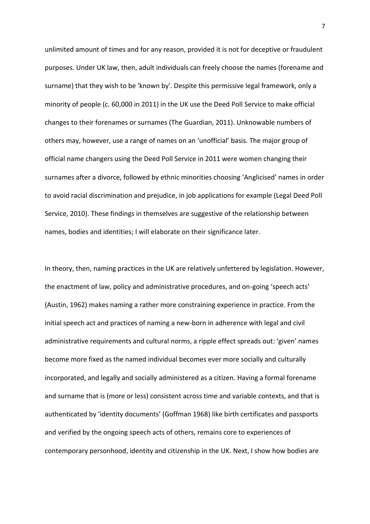unlimited amount of times and for any reason, provided it is not for deceptive or fraudulent purposes. Under UK law, then, adult individuals can freely choose the names (forename and surname) that they wish to be 'known by'. Despite this permissive legal framework, only a minority of people (c. 60,000 in 2011) in the UK use the Deed Poll Service to make official changes to their forenames or surnames (The Guardian, 2011). Unknowable numbers of others may, however, use a range of names on an 'unofficial' basis. The major group of official name changers using the Deed Poll Service in 2011 were women changing their surnames after a divorce, followed by ethnic minorities choosing 'Anglicised' names in order to avoid racial discrimination and prejudice, in job applications for example (Legal Deed Poll Service, 2010). These findings in themselves are suggestive of the relationship between names, bodies and identities; I will elaborate on their significance later.

In theory, then, naming practices in the UK are relatively unfettered by legislation. However, the enactment of law, policy and administrative procedures, and on-going 'speech acts' (Austin, 1962) makes naming a rather more constraining experience in practice. From the initial speech act and practices of naming a new-born in adherence with legal and civil administrative requirements and cultural norms, a ripple effect spreads out: 'given' names become more fixed as the named individual becomes ever more socially and culturally incorporated, and legally and socially administered as a citizen. Having a formal forename and surname that is (more or less) consistent across time and variable contexts, and that is authenticated by 'identity documents' (Goffman 1968) like birth certificates and passports and verified by the ongoing speech acts of others, remains core to experiences of contemporary personhood, identity and citizenship in the UK. Next, I show how bodies are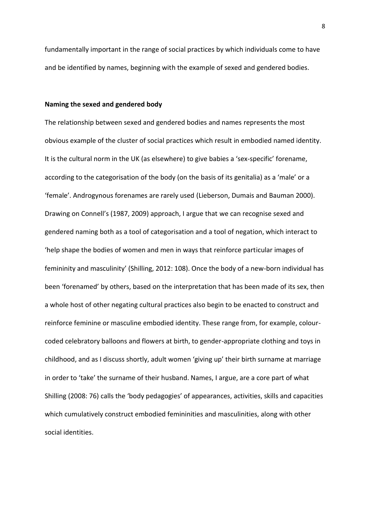fundamentally important in the range of social practices by which individuals come to have and be identified by names, beginning with the example of sexed and gendered bodies.

## **Naming the sexed and gendered body**

The relationship between sexed and gendered bodies and names represents the most obvious example of the cluster of social practices which result in embodied named identity. It is the cultural norm in the UK (as elsewhere) to give babies a 'sex-specific' forename, according to the categorisation of the body (on the basis of its genitalia) as a 'male' or a 'female'. Androgynous forenames are rarely used (Lieberson, Dumais and Bauman 2000). Drawing on Connell's (1987, 2009) approach, I argue that we can recognise sexed and gendered naming both as a tool of categorisation and a tool of negation, which interact to 'help shape the bodies of women and men in ways that reinforce particular images of femininity and masculinity' (Shilling, 2012: 108). Once the body of a new-born individual has been 'forenamed' by others, based on the interpretation that has been made of its sex, then a whole host of other negating cultural practices also begin to be enacted to construct and reinforce feminine or masculine embodied identity. These range from, for example, colourcoded celebratory balloons and flowers at birth, to gender-appropriate clothing and toys in childhood, and as I discuss shortly, adult women 'giving up' their birth surname at marriage in order to 'take' the surname of their husband. Names, I argue, are a core part of what Shilling (2008: 76) calls the 'body pedagogies' of appearances, activities, skills and capacities which cumulatively construct embodied femininities and masculinities, along with other social identities.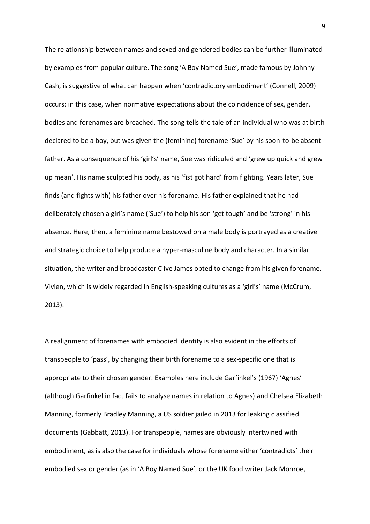The relationship between names and sexed and gendered bodies can be further illuminated by examples from popular culture. The song 'A Boy Named Sue', made famous by Johnny Cash, is suggestive of what can happen when 'contradictory embodiment' (Connell, 2009) occurs: in this case, when normative expectations about the coincidence of sex, gender, bodies and forenames are breached. The song tells the tale of an individual who was at birth declared to be a boy, but was given the (feminine) forename 'Sue' by his soon-to-be absent father. As a consequence of his 'girl's' name, Sue was ridiculed and 'grew up quick and grew up mean'. His name sculpted his body, as his 'fist got hard' from fighting. Years later, Sue finds (and fights with) his father over his forename. His father explained that he had deliberately chosen a girl's name ('Sue') to help his son 'get tough' and be 'strong' in his absence. Here, then, a feminine name bestowed on a male body is portrayed as a creative and strategic choice to help produce a hyper-masculine body and character. In a similar situation, the writer and broadcaster Clive James opted to change from his given forename, Vivien, which is widely regarded in English-speaking cultures as a 'girl's' name (McCrum, 2013).

A realignment of forenames with embodied identity is also evident in the efforts of transpeople to 'pass', by changing their birth forename to a sex-specific one that is appropriate to their chosen gender. Examples here include Garfinkel's (1967) 'Agnes' (although Garfinkel in fact fails to analyse names in relation to Agnes) and Chelsea Elizabeth Manning, formerly Bradley Manning, a US soldier jailed in 2013 for leaking classified documents (Gabbatt, 2013). For transpeople, names are obviously intertwined with embodiment, as is also the case for individuals whose forename either 'contradicts' their embodied sex or gender (as in 'A Boy Named Sue', or the UK food writer Jack Monroe,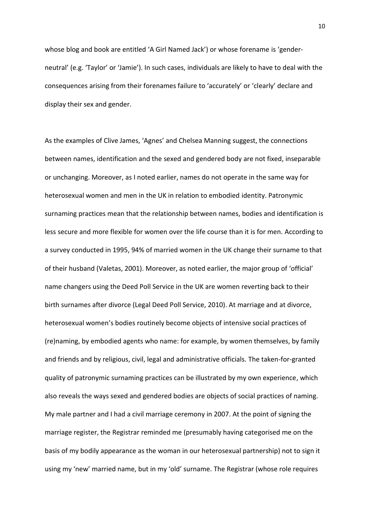whose blog and book are entitled 'A Girl Named Jack') or whose forename is 'genderneutral' (e.g. 'Taylor' or 'Jamie'). In such cases, individuals are likely to have to deal with the consequences arising from their forenames failure to 'accurately' or 'clearly' declare and display their sex and gender.

As the examples of Clive James, 'Agnes' and Chelsea Manning suggest, the connections between names, identification and the sexed and gendered body are not fixed, inseparable or unchanging. Moreover, as I noted earlier, names do not operate in the same way for heterosexual women and men in the UK in relation to embodied identity. Patronymic surnaming practices mean that the relationship between names, bodies and identification is less secure and more flexible for women over the life course than it is for men. According to a survey conducted in 1995, 94% of married women in the UK change their surname to that of their husband (Valetas, 2001). Moreover, as noted earlier, the major group of 'official' name changers using the Deed Poll Service in the UK are women reverting back to their birth surnames after divorce (Legal Deed Poll Service, 2010). At marriage and at divorce, heterosexual women's bodies routinely become objects of intensive social practices of (re)naming, by embodied agents who name: for example, by women themselves, by family and friends and by religious, civil, legal and administrative officials. The taken-for-granted quality of patronymic surnaming practices can be illustrated by my own experience, which also reveals the ways sexed and gendered bodies are objects of social practices of naming. My male partner and I had a civil marriage ceremony in 2007. At the point of signing the marriage register, the Registrar reminded me (presumably having categorised me on the basis of my bodily appearance as the woman in our heterosexual partnership) not to sign it using my 'new' married name, but in my 'old' surname. The Registrar (whose role requires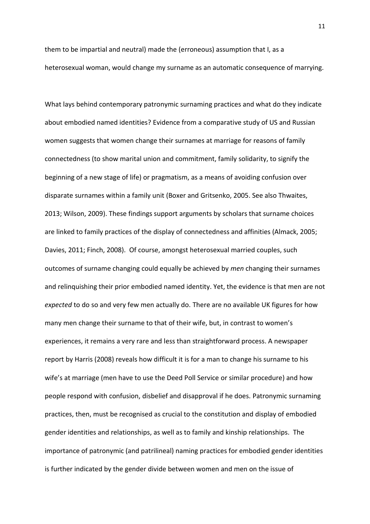them to be impartial and neutral) made the (erroneous) assumption that I, as a heterosexual woman, would change my surname as an automatic consequence of marrying.

What lays behind contemporary patronymic surnaming practices and what do they indicate about embodied named identities? Evidence from a comparative study of US and Russian women suggests that women change their surnames at marriage for reasons of family connectedness (to show marital union and commitment, family solidarity, to signify the beginning of a new stage of life) or pragmatism, as a means of avoiding confusion over disparate surnames within a family unit (Boxer and Gritsenko, 2005. See also Thwaites, 2013; Wilson, 2009). These findings support arguments by scholars that surname choices are linked to family practices of the display of connectedness and affinities (Almack, 2005; Davies, 2011; Finch, 2008). Of course, amongst heterosexual married couples, such outcomes of surname changing could equally be achieved by *men* changing their surnames and relinquishing their prior embodied named identity. Yet, the evidence is that men are not *expected* to do so and very few men actually do. There are no available UK figures for how many men change their surname to that of their wife, but, in contrast to women's experiences, it remains a very rare and less than straightforward process. A newspaper report by Harris (2008) reveals how difficult it is for a man to change his surname to his wife's at marriage (men have to use the Deed Poll Service or similar procedure) and how people respond with confusion, disbelief and disapproval if he does. Patronymic surnaming practices, then, must be recognised as crucial to the constitution and display of embodied gender identities and relationships, as well as to family and kinship relationships. The importance of patronymic (and patrilineal) naming practices for embodied gender identities is further indicated by the gender divide between women and men on the issue of

11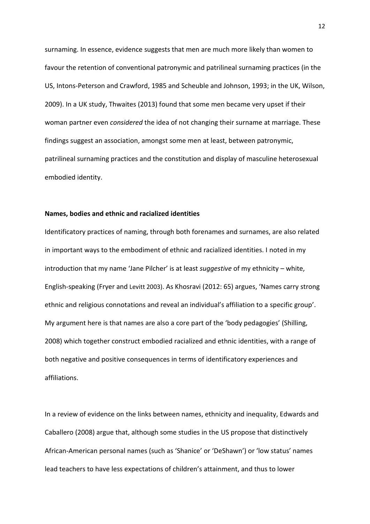surnaming. In essence, evidence suggests that men are much more likely than women to favour the retention of conventional patronymic and patrilineal surnaming practices (in the US, Intons-Peterson and Crawford, 1985 and Scheuble and Johnson, 1993; in the UK, Wilson, 2009). In a UK study, Thwaites (2013) found that some men became very upset if their woman partner even *considered* the idea of not changing their surname at marriage. These findings suggest an association, amongst some men at least, between patronymic, patrilineal surnaming practices and the constitution and display of masculine heterosexual embodied identity.

## **Names, bodies and ethnic and racialized identities**

Identificatory practices of naming, through both forenames and surnames, are also related in important ways to the embodiment of ethnic and racialized identities. I noted in my introduction that my name 'Jane Pilcher' is at least *suggestive* of my ethnicity – white, English-speaking (Fryer and Levitt 2003). As Khosravi (2012: 65) argues, 'Names carry strong ethnic and religious connotations and reveal an individual's affiliation to a specific group'. My argument here is that names are also a core part of the 'body pedagogies' (Shilling, 2008) which together construct embodied racialized and ethnic identities, with a range of both negative and positive consequences in terms of identificatory experiences and affiliations.

In a review of evidence on the links between names, ethnicity and inequality, Edwards and Caballero (2008) argue that, although some studies in the US propose that distinctively African-American personal names (such as 'Shanice' or 'DeShawn') or 'low status' names lead teachers to have less expectations of children's attainment, and thus to lower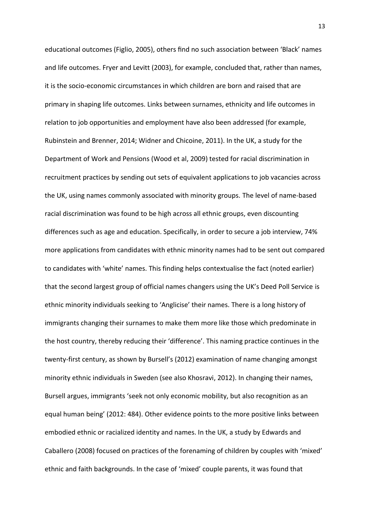educational outcomes (Figlio, 2005), others find no such association between 'Black' names and life outcomes. Fryer and Levitt (2003), for example, concluded that, rather than names, it is the socio-economic circumstances in which children are born and raised that are primary in shaping life outcomes. Links between surnames, ethnicity and life outcomes in relation to job opportunities and employment have also been addressed (for example, Rubinstein and Brenner, 2014; Widner and Chicoine, 2011). In the UK, a study for the Department of Work and Pensions (Wood et al, 2009) tested for racial discrimination in recruitment practices by sending out sets of equivalent applications to job vacancies across the UK, using names commonly associated with minority groups. The level of name-based racial discrimination was found to be high across all ethnic groups, even discounting differences such as age and education. Specifically, in order to secure a job interview, 74% more applications from candidates with ethnic minority names had to be sent out compared to candidates with 'white' names. This finding helps contextualise the fact (noted earlier) that the second largest group of official names changers using the UK's Deed Poll Service is ethnic minority individuals seeking to 'Anglicise' their names. There is a long history of immigrants changing their surnames to make them more like those which predominate in the host country, thereby reducing their 'difference'. This naming practice continues in the twenty-first century, as shown by Bursell's (2012) examination of name changing amongst minority ethnic individuals in Sweden (see also Khosravi, 2012). In changing their names, Bursell argues, immigrants 'seek not only economic mobility, but also recognition as an equal human being' (2012: 484). Other evidence points to the more positive links between embodied ethnic or racialized identity and names. In the UK, a study by Edwards and Caballero (2008) focused on practices of the forenaming of children by couples with 'mixed' ethnic and faith backgrounds. In the case of 'mixed' couple parents, it was found that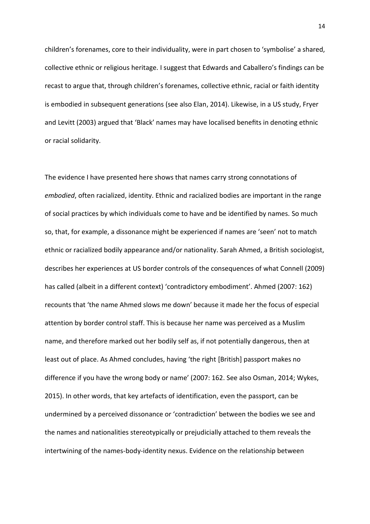children's forenames, core to their individuality, were in part chosen to 'symbolise' a shared, collective ethnic or religious heritage. I suggest that Edwards and Caballero's findings can be recast to argue that, through children's forenames, collective ethnic, racial or faith identity is embodied in subsequent generations (see also Elan, 2014). Likewise, in a US study, Fryer and Levitt (2003) argued that 'Black' names may have localised benefits in denoting ethnic or racial solidarity.

The evidence I have presented here shows that names carry strong connotations of *embodied*, often racialized, identity. Ethnic and racialized bodies are important in the range of social practices by which individuals come to have and be identified by names. So much so, that, for example, a dissonance might be experienced if names are 'seen' not to match ethnic or racialized bodily appearance and/or nationality. Sarah Ahmed, a British sociologist, describes her experiences at US border controls of the consequences of what Connell (2009) has called (albeit in a different context) 'contradictory embodiment'. Ahmed (2007: 162) recounts that 'the name Ahmed slows me down' because it made her the focus of especial attention by border control staff. This is because her name was perceived as a Muslim name, and therefore marked out her bodily self as, if not potentially dangerous, then at least out of place. As Ahmed concludes, having 'the right [British] passport makes no difference if you have the wrong body or name' (2007: 162. See also Osman, 2014; Wykes, 2015). In other words, that key artefacts of identification, even the passport, can be undermined by a perceived dissonance or 'contradiction' between the bodies we see and the names and nationalities stereotypically or prejudicially attached to them reveals the intertwining of the names-body-identity nexus. Evidence on the relationship between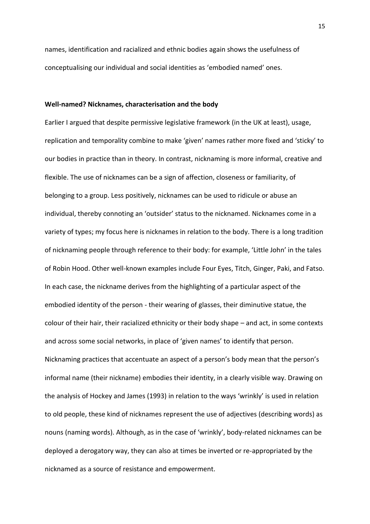names, identification and racialized and ethnic bodies again shows the usefulness of conceptualising our individual and social identities as 'embodied named' ones.

## **Well-named? Nicknames, characterisation and the body**

Earlier I argued that despite permissive legislative framework (in the UK at least), usage, replication and temporality combine to make 'given' names rather more fixed and 'sticky' to our bodies in practice than in theory. In contrast, nicknaming is more informal, creative and flexible. The use of nicknames can be a sign of affection, closeness or familiarity, of belonging to a group. Less positively, nicknames can be used to ridicule or abuse an individual, thereby connoting an 'outsider' status to the nicknamed. Nicknames come in a variety of types; my focus here is nicknames in relation to the body. There is a long tradition of nicknaming people through reference to their body: for example, 'Little John' in the tales of Robin Hood. Other well-known examples include Four Eyes, Titch, Ginger, Paki, and Fatso. In each case, the nickname derives from the highlighting of a particular aspect of the embodied identity of the person - their wearing of glasses, their diminutive statue, the colour of their hair, their racialized ethnicity or their body shape – and act, in some contexts and across some social networks, in place of 'given names' to identify that person. Nicknaming practices that accentuate an aspect of a person's body mean that the person's informal name (their nickname) embodies their identity, in a clearly visible way. Drawing on the analysis of Hockey and James (1993) in relation to the ways 'wrinkly' is used in relation to old people, these kind of nicknames represent the use of adjectives (describing words) as nouns (naming words). Although, as in the case of 'wrinkly', body-related nicknames can be deployed a derogatory way, they can also at times be inverted or re-appropriated by the nicknamed as a source of resistance and empowerment.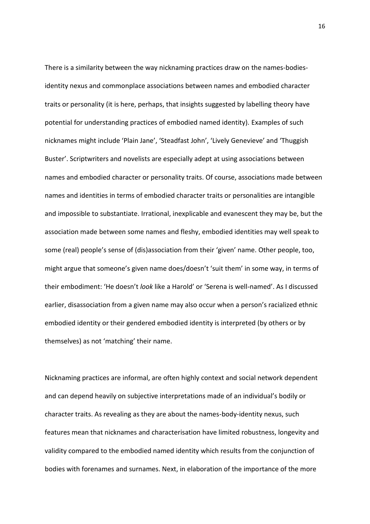There is a similarity between the way nicknaming practices draw on the names-bodiesidentity nexus and commonplace associations between names and embodied character traits or personality (it is here, perhaps, that insights suggested by labelling theory have potential for understanding practices of embodied named identity). Examples of such nicknames might include 'Plain Jane', 'Steadfast John', 'Lively Genevieve' and 'Thuggish Buster'. Scriptwriters and novelists are especially adept at using associations between names and embodied character or personality traits. Of course, associations made between names and identities in terms of embodied character traits or personalities are intangible and impossible to substantiate. Irrational, inexplicable and evanescent they may be, but the association made between some names and fleshy, embodied identities may well speak to some (real) people's sense of (dis)association from their 'given' name. Other people, too, might argue that someone's given name does/doesn't 'suit them' in some way, in terms of their embodiment: 'He doesn't *look* like a Harold' or 'Serena is well-named'. As I discussed earlier, disassociation from a given name may also occur when a person's racialized ethnic embodied identity or their gendered embodied identity is interpreted (by others or by themselves) as not 'matching' their name.

Nicknaming practices are informal, are often highly context and social network dependent and can depend heavily on subjective interpretations made of an individual's bodily or character traits. As revealing as they are about the names-body-identity nexus, such features mean that nicknames and characterisation have limited robustness, longevity and validity compared to the embodied named identity which results from the conjunction of bodies with forenames and surnames. Next, in elaboration of the importance of the more

16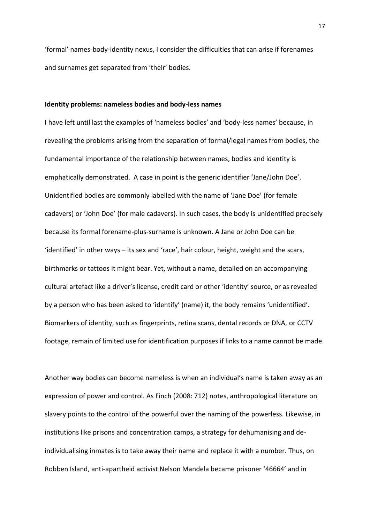'formal' names-body-identity nexus, I consider the difficulties that can arise if forenames and surnames get separated from 'their' bodies.

#### **Identity problems: nameless bodies and body-less names**

I have left until last the examples of 'nameless bodies' and 'body-less names' because, in revealing the problems arising from the separation of formal/legal names from bodies, the fundamental importance of the relationship between names, bodies and identity is emphatically demonstrated. A case in point is the generic identifier 'Jane/John Doe'. Unidentified bodies are commonly labelled with the name of 'Jane Doe' (for female cadavers) or 'John Doe' (for male cadavers). In such cases, the body is unidentified precisely because its formal forename-plus-surname is unknown. A Jane or John Doe can be 'identified' in other ways – its sex and 'race', hair colour, height, weight and the scars, birthmarks or tattoos it might bear. Yet, without a name, detailed on an accompanying cultural artefact like a driver's license, credit card or other 'identity' source, or as revealed by a person who has been asked to 'identify' (name) it, the body remains 'unidentified'. Biomarkers of identity, such as fingerprints, retina scans, dental records or DNA, or CCTV footage, remain of limited use for identification purposes if links to a name cannot be made.

Another way bodies can become nameless is when an individual's name is taken away as an expression of power and control. As Finch (2008: 712) notes, anthropological literature on slavery points to the control of the powerful over the naming of the powerless. Likewise, in institutions like prisons and concentration camps, a strategy for dehumanising and deindividualising inmates is to take away their name and replace it with a number. Thus, on Robben Island, anti-apartheid activist Nelson Mandela became prisoner '46664' and in

17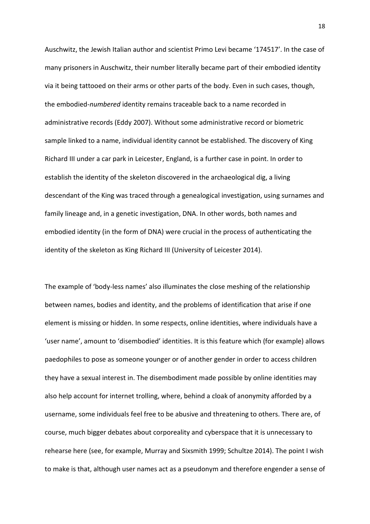Auschwitz, the Jewish Italian author and scientist Primo Levi became '174517'. In the case of many prisoners in Auschwitz, their number literally became part of their embodied identity via it being tattooed on their arms or other parts of the body. Even in such cases, though, the embodied-*numbered* identity remains traceable back to a name recorded in administrative records (Eddy 2007). Without some administrative record or biometric sample linked to a name, individual identity cannot be established. The discovery of King Richard III under a car park in Leicester, England, is a further case in point. In order to establish the identity of the skeleton discovered in the archaeological dig, a living descendant of the King was traced through a genealogical investigation, using surnames and family lineage and, in a genetic investigation, DNA. In other words, both names and embodied identity (in the form of DNA) were crucial in the process of authenticating the identity of the skeleton as King Richard III (University of Leicester 2014).

The example of 'body-less names' also illuminates the close meshing of the relationship between names, bodies and identity, and the problems of identification that arise if one element is missing or hidden. In some respects, online identities, where individuals have a 'user name', amount to 'disembodied' identities. It is this feature which (for example) allows paedophiles to pose as someone younger or of another gender in order to access children they have a sexual interest in. The disembodiment made possible by online identities may also help account for internet trolling, where, behind a cloak of anonymity afforded by a username, some individuals feel free to be abusive and threatening to others. There are, of course, much bigger debates about corporeality and cyberspace that it is unnecessary to rehearse here (see, for example, Murray and Sixsmith 1999; Schultze 2014). The point I wish to make is that, although user names act as a pseudonym and therefore engender a sense of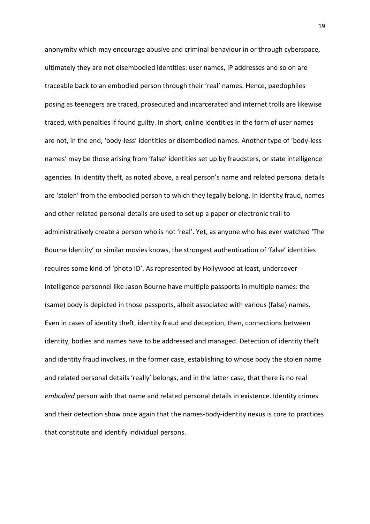anonymity which may encourage abusive and criminal behaviour in or through cyberspace, ultimately they are not disembodied identities: user names, IP addresses and so on are traceable back to an embodied person through their 'real' names. Hence, paedophiles posing as teenagers are traced, prosecuted and incarcerated and internet trolls are likewise traced, with penalties if found guilty. In short, online identities in the form of user names are not, in the end, 'body-less' identities or disembodied names. Another type of 'body-less names' may be those arising from 'false' identities set up by fraudsters, or state intelligence agencies. In identity theft, as noted above, a real person's name and related personal details are 'stolen' from the embodied person to which they legally belong. In identity fraud, names and other related personal details are used to set up a paper or electronic trail to administratively create a person who is not 'real'. Yet, as anyone who has ever watched 'The Bourne Identity' or similar movies knows, the strongest authentication of 'false' identities requires some kind of 'photo ID'. As represented by Hollywood at least, undercover intelligence personnel like Jason Bourne have multiple passports in multiple names: the (same) body is depicted in those passports, albeit associated with various (false) names. Even in cases of identity theft, identity fraud and deception, then, connections between identity, bodies and names have to be addressed and managed. Detection of identity theft and identity fraud involves, in the former case, establishing to whose body the stolen name and related personal details 'really' belongs, and in the latter case, that there is no real *embodied* person with that name and related personal details in existence. Identity crimes and their detection show once again that the names-body-identity nexus is core to practices that constitute and identify individual persons.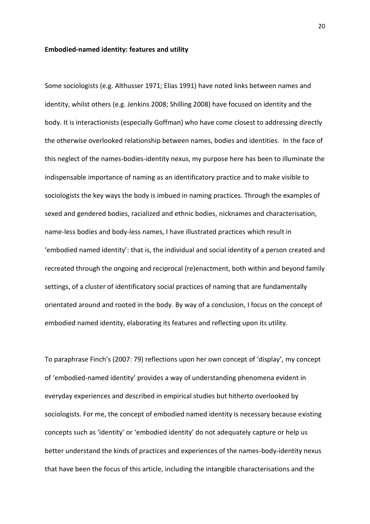# **Embodied-named identity: features and utility**

Some sociologists (e.g. Althusser 1971; Elias 1991) have noted links between names and identity, whilst others (e.g. Jenkins 2008; Shilling 2008) have focused on identity and the body. It is interactionists (especially Goffman) who have come closest to addressing directly the otherwise overlooked relationship between names, bodies and identities. In the face of this neglect of the names-bodies-identity nexus, my purpose here has been to illuminate the indispensable importance of naming as an identificatory practice and to make visible to sociologists the key ways the body is imbued in naming practices. Through the examples of sexed and gendered bodies, racialized and ethnic bodies, nicknames and characterisation, name-less bodies and body-less names, I have illustrated practices which result in 'embodied named identity': that is, the individual and social identity of a person created and recreated through the ongoing and reciprocal (re)enactment, both within and beyond family settings, of a cluster of identificatory social practices of naming that are fundamentally orientated around and rooted in the body. By way of a conclusion, I focus on the concept of embodied named identity, elaborating its features and reflecting upon its utility.

To paraphrase Finch's (2007: 79) reflections upon her own concept of 'display', my concept of 'embodied-named identity' provides a way of understanding phenomena evident in everyday experiences and described in empirical studies but hitherto overlooked by sociologists. For me, the concept of embodied named identity is necessary because existing concepts such as 'identity' or 'embodied identity' do not adequately capture or help us better understand the kinds of practices and experiences of the names-body-identity nexus that have been the focus of this article, including the intangible characterisations and the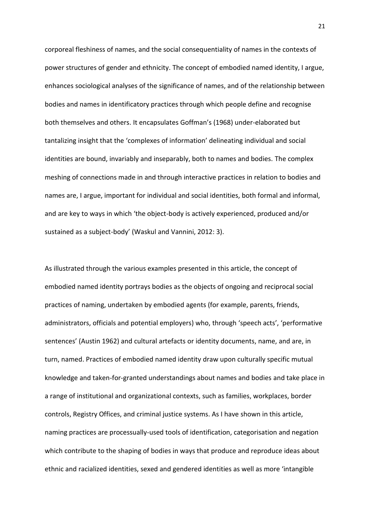corporeal fleshiness of names, and the social consequentiality of names in the contexts of power structures of gender and ethnicity. The concept of embodied named identity, I argue, enhances sociological analyses of the significance of names, and of the relationship between bodies and names in identificatory practices through which people define and recognise both themselves and others. It encapsulates Goffman's (1968) under-elaborated but tantalizing insight that the 'complexes of information' delineating individual and social identities are bound, invariably and inseparably, both to names and bodies. The complex meshing of connections made in and through interactive practices in relation to bodies and names are, I argue, important for individual and social identities, both formal and informal, and are key to ways in which 'the object-body is actively experienced, produced and/or sustained as a subject-body' (Waskul and Vannini, 2012: 3).

As illustrated through the various examples presented in this article, the concept of embodied named identity portrays bodies as the objects of ongoing and reciprocal social practices of naming, undertaken by embodied agents (for example, parents, friends, administrators, officials and potential employers) who, through 'speech acts', 'performative sentences' (Austin 1962) and cultural artefacts or identity documents, name, and are, in turn, named. Practices of embodied named identity draw upon culturally specific mutual knowledge and taken-for-granted understandings about names and bodies and take place in a range of institutional and organizational contexts, such as families, workplaces, border controls, Registry Offices, and criminal justice systems. As I have shown in this article, naming practices are processually-used tools of identification, categorisation and negation which contribute to the shaping of bodies in ways that produce and reproduce ideas about ethnic and racialized identities, sexed and gendered identities as well as more 'intangible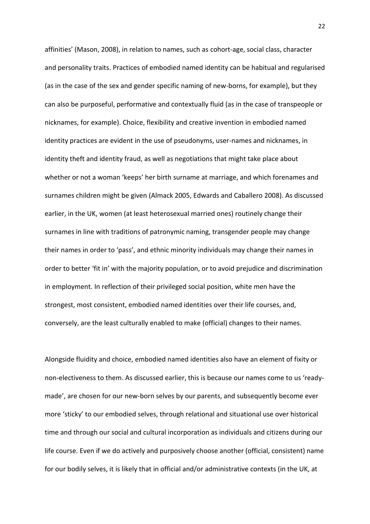affinities' (Mason, 2008), in relation to names, such as cohort-age, social class, character and personality traits. Practices of embodied named identity can be habitual and regularised (as in the case of the sex and gender specific naming of new-borns, for example), but they can also be purposeful, performative and contextually fluid (as in the case of transpeople or nicknames, for example). Choice, flexibility and creative invention in embodied named identity practices are evident in the use of pseudonyms, user-names and nicknames, in identity theft and identity fraud, as well as negotiations that might take place about whether or not a woman 'keeps' her birth surname at marriage, and which forenames and surnames children might be given (Almack 2005, Edwards and Caballero 2008). As discussed earlier, in the UK, women (at least heterosexual married ones) routinely change their surnames in line with traditions of patronymic naming, transgender people may change their names in order to 'pass', and ethnic minority individuals may change their names in order to better 'fit in' with the majority population, or to avoid prejudice and discrimination in employment. In reflection of their privileged social position, white men have the strongest, most consistent, embodied named identities over their life courses, and, conversely, are the least culturally enabled to make (official) changes to their names.

Alongside fluidity and choice, embodied named identities also have an element of fixity or non-electiveness to them. As discussed earlier, this is because our names come to us 'readymade', are chosen for our new-born selves by our parents, and subsequently become ever more 'sticky' to our embodied selves, through relational and situational use over historical time and through our social and cultural incorporation as individuals and citizens during our life course. Even if we do actively and purposively choose another (official, consistent) name for our bodily selves, it is likely that in official and/or administrative contexts (in the UK, at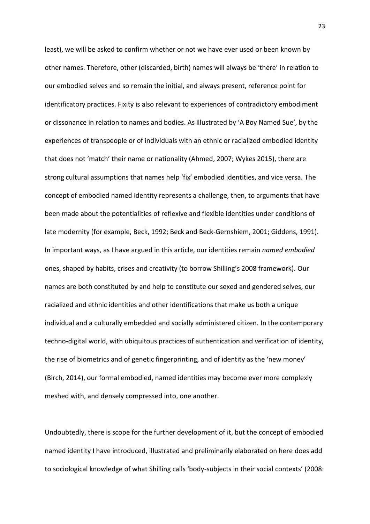least), we will be asked to confirm whether or not we have ever used or been known by other names. Therefore, other (discarded, birth) names will always be 'there' in relation to our embodied selves and so remain the initial, and always present, reference point for identificatory practices. Fixity is also relevant to experiences of contradictory embodiment or dissonance in relation to names and bodies. As illustrated by 'A Boy Named Sue', by the experiences of transpeople or of individuals with an ethnic or racialized embodied identity that does not 'match' their name or nationality (Ahmed, 2007; Wykes 2015), there are strong cultural assumptions that names help 'fix' embodied identities, and vice versa. The concept of embodied named identity represents a challenge, then, to arguments that have been made about the potentialities of reflexive and flexible identities under conditions of late modernity (for example, Beck, 1992; Beck and Beck-Gernshiem, 2001; Giddens, 1991). In important ways, as I have argued in this article, our identities remain *named embodied* ones, shaped by habits, crises and creativity (to borrow Shilling's 2008 framework). Our names are both constituted by and help to constitute our sexed and gendered selves, our racialized and ethnic identities and other identifications that make us both a unique individual and a culturally embedded and socially administered citizen. In the contemporary techno-digital world, with ubiquitous practices of authentication and verification of identity, the rise of biometrics and of genetic fingerprinting, and of identity as the 'new money' (Birch, 2014), our formal embodied, named identities may become ever more complexly meshed with, and densely compressed into, one another.

Undoubtedly, there is scope for the further development of it, but the concept of embodied named identity I have introduced, illustrated and preliminarily elaborated on here does add to sociological knowledge of what Shilling calls 'body-subjects in their social contexts' (2008: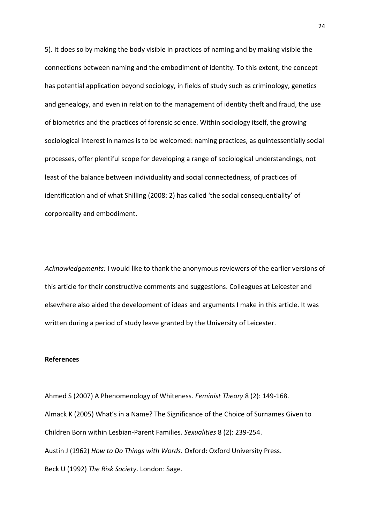5). It does so by making the body visible in practices of naming and by making visible the connections between naming and the embodiment of identity. To this extent, the concept has potential application beyond sociology, in fields of study such as criminology, genetics and genealogy, and even in relation to the management of identity theft and fraud, the use of biometrics and the practices of forensic science. Within sociology itself, the growing sociological interest in names is to be welcomed: naming practices, as quintessentially social processes, offer plentiful scope for developing a range of sociological understandings, not least of the balance between individuality and social connectedness, of practices of identification and of what Shilling (2008: 2) has called 'the social consequentiality' of corporeality and embodiment.

*Acknowledgements:* I would like to thank the anonymous reviewers of the earlier versions of this article for their constructive comments and suggestions. Colleagues at Leicester and elsewhere also aided the development of ideas and arguments I make in this article. It was written during a period of study leave granted by the University of Leicester.

## **References**

Ahmed S (2007) A Phenomenology of Whiteness. *Feminist Theory* 8 (2): 149-168. Almack K (2005) What's in a Name? The Significance of the Choice of Surnames Given to Children Born within Lesbian-Parent Families. *Sexualities* 8 (2): 239-254. Austin J (1962) *How to Do Things with Words.* Oxford: Oxford University Press. Beck U (1992) *The Risk Society*. London: Sage.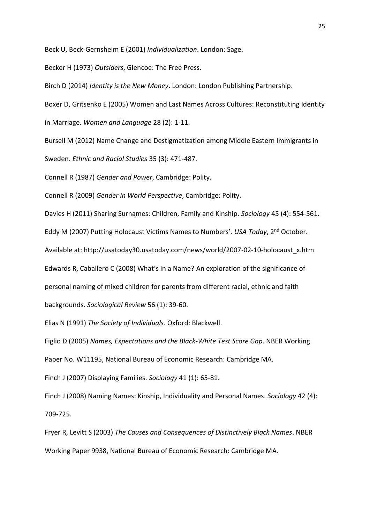Beck U, Beck-Gernsheim E (2001) *Individualization*. London: Sage.

Becker H (1973) *Outsiders*, Glencoe: The Free Press.

Birch D (2014) *Identity is the New Money*. London: London Publishing Partnership.

Boxer D, Gritsenko E (2005) Women and Last Names Across Cultures: Reconstituting Identity in Marriage. *Women and Language* 28 (2): 1-11.

Bursell M (2012) Name Change and Destigmatization among Middle Eastern Immigrants in Sweden. *Ethnic and Racial Studies* 35 (3): 471-487.

Connell R (1987) *Gender and Power*, Cambridge: Polity.

Connell R (2009) *Gender in World Perspective*, Cambridge: Polity.

Davies H (2011) Sharing Surnames: Children, Family and Kinship. *Sociology* 45 (4): 554-561.

Eddy M (2007) Putting Holocaust Victims Names to Numbers'. *USA Today*, 2nd October.

Available at: http://usatoday30.usatoday.com/news/world/2007-02-10-holocaust\_x.htm

Edwards R, Caballero C (2008) What's in a Name? An exploration of the significance of

personal naming of mixed children for parents from different racial, ethnic and faith

backgrounds. *Sociological Review* 56 (1): 39-60.

Elias N (1991) *The Society of Individuals*. Oxford: Blackwell.

Figlio D (2005) *Names, Expectations and the Black-White Test Score Gap*. NBER Working Paper No. W11195, National Bureau of Economic Research: Cambridge MA.

Finch J (2007) Displaying Families. *Sociology* 41 (1): 65-81.

Finch J (2008) Naming Names: Kinship, Individuality and Personal Names. *Sociology* 42 (4): 709-725.

Fryer R, Levitt S (2003) *The Causes and Consequences of Distinctively Black Names*. NBER Working Paper 9938, National Bureau of Economic Research: Cambridge MA.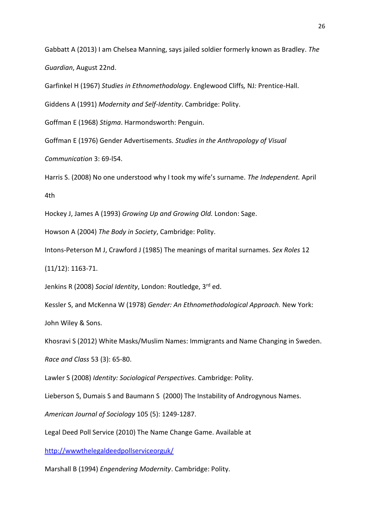Gabbatt A (2013) I am Chelsea Manning, says jailed soldier formerly known as Bradley. *The Guardian*, August 22nd.

Garfinkel H (1967) *Studies in Ethnomethodology*. Englewood Cliffs*,* NJ*:* Prentice*-*Hall.

Giddens A (1991) *Modernity and Self-Identity*. Cambridge: Polity.

Goffman E (1968) *Stigma*. Harmondsworth: Penguin.

Goffman E (1976) Gender Advertisements. *Studies in the Anthropology of Visual* 

*Communication* 3: 69-l54.

Harris S. (2008) No one understood why I took my wife's surname. *The Independent.* April 4th

Hockey J, James A (1993) *Growing Up and Growing Old.* London: Sage.

Howson A (2004) *The Body in Society*, Cambridge: Polity.

Intons-Peterson M J, Crawford J (1985) The meanings of marital surnames. *Sex Roles* 12 (11/12): 1163-71.

Jenkins R (2008) *Social Identity*, London: Routledge, 3rd ed.

Kessler S, and McKenna W (1978) *Gender: An Ethnomethodological Approach.* New York: John Wiley & Sons.

Khosravi S (2012) White Masks/Muslim Names: Immigrants and Name Changing in Sweden.

*Race and Class* 53 (3): 65-80.

Lawler S (2008) *Identity: Sociological Perspectives*. Cambridge: Polity.

Lieberson S, Dumais S and Baumann S (2000) The Instability of Androgynous Names.

*American Journal of Sociology* 105 (5): 1249-1287.

Legal Deed Poll Service (2010) The Name Change Game. Available at

[http://wwwthelegaldeedpollserviceorguk/](http://www.thelegaldeedpollservice.org.uk/)

Marshall B (1994) *Engendering Modernity*. Cambridge: Polity.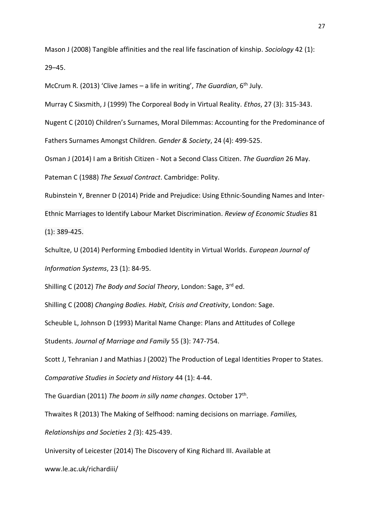Mason J (2008) Tangible affinities and the real life fascination of kinship. *Sociology* 42 (1): 29–45.

McCrum R. (2013) 'Clive James – a life in writing', *The Guardian*, 6<sup>th</sup> July.

Murray C Sixsmith, J (1999) The Corporeal Body in Virtual Reality. *Ethos*, 27 (3): 315-343.

Nugent C (2010) Children's Surnames, Moral Dilemmas: Accounting for the Predominance of

Fathers Surnames Amongst Children. *Gender & Society*, 24 (4): 499-525.

Osman J (2014) I am a British Citizen - Not a Second Class Citizen. *The Guardian* 26 May.

Pateman C (1988) *The Sexual Contract*. Cambridge: Polity.

Rubinstein Y, Brenner D (2014) Pride and Prejudice: Using Ethnic-Sounding Names and Inter-Ethnic Marriages to Identify Labour Market Discrimination. *Review of Economic Studies* 81 (1): 389-425.

Schultze, U (2014) Performing Embodied Identity in Virtual Worlds. *European Journal of Information Systems*, 23 (1): 84-95.

Shilling C (2012) *The Body and Social Theory*, London: Sage, 3rd ed.

Shilling C (2008) *Changing Bodies. Habit, Crisis and Creativity*, London: Sage.

Scheuble L, Johnson D (1993) Marital Name Change: Plans and Attitudes of College

Students. *Journal of Marriage and Family* 55 (3): 747-754.

Scott J, Tehranian J and Mathias J (2002) The Production of Legal Identities Proper to States.

*Comparative Studies in Society and History* 44 (1): 4-44.

The Guardian (2011) *The boom in silly name changes*. October 17th .

Thwaites R (2013) The Making of Selfhood: naming decisions on marriage. *Families,* 

*Relationships and Societies* 2 *(*3): 425-439.

University of Leicester (2014) The Discovery of King Richard III. Available at

www.le.ac.uk/richardiii/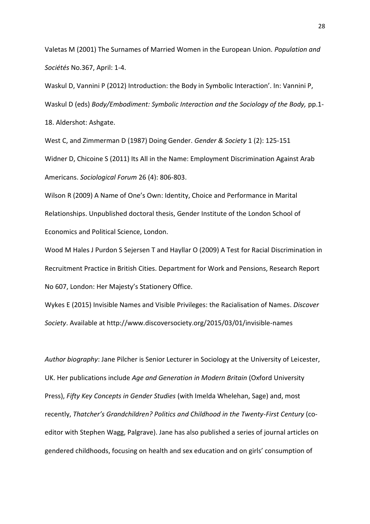Valetas M (2001) The Surnames of Married Women in the European Union. *Population and Sociétés* No.367, April: 1-4.

Waskul D, Vannini P (2012) Introduction: the Body in Symbolic Interaction'. In: Vannini P, Waskul D (eds) *Body/Embodiment: Symbolic Interaction and the Sociology of the Body,* pp.1- 18. Aldershot: Ashgate.

West C, and Zimmerman D (1987) Doing Gender. *Gender & Society* 1 (2): 125-151 Widner D, Chicoine S (2011) Its All in the Name: Employment Discrimination Against Arab Americans. *Sociological Forum* 26 (4): 806-803.

Wilson R (2009) A Name of One's Own: Identity, Choice and Performance in Marital Relationships. Unpublished doctoral thesis, Gender Institute of the London School of Economics and Political Science, London.

Wood M Hales J Purdon S Sejersen T and Hayllar O (2009) A Test for Racial Discrimination in Recruitment Practice in British Cities. Department for Work and Pensions, Research Report No 607, London: Her Majesty's Stationery Office.

Wykes E (2015) Invisible Names and Visible Privileges: the Racialisation of Names. *Discover Society*. Available at http://www.discoversociety.org/2015/03/01/invisible-names

*Author biography*: Jane Pilcher is Senior Lecturer in Sociology at the University of Leicester, UK. Her publications include *Age and Generation in Modern Britain* (Oxford University Press), *Fifty Key Concepts in Gender Studies* (with Imelda Whelehan, Sage) and, most recently, *Thatcher's Grandchildren? Politics and Childhood in the Twenty-First Century* (coeditor with Stephen Wagg, Palgrave). Jane has also published a series of journal articles on gendered childhoods, focusing on health and sex education and on girls' consumption of